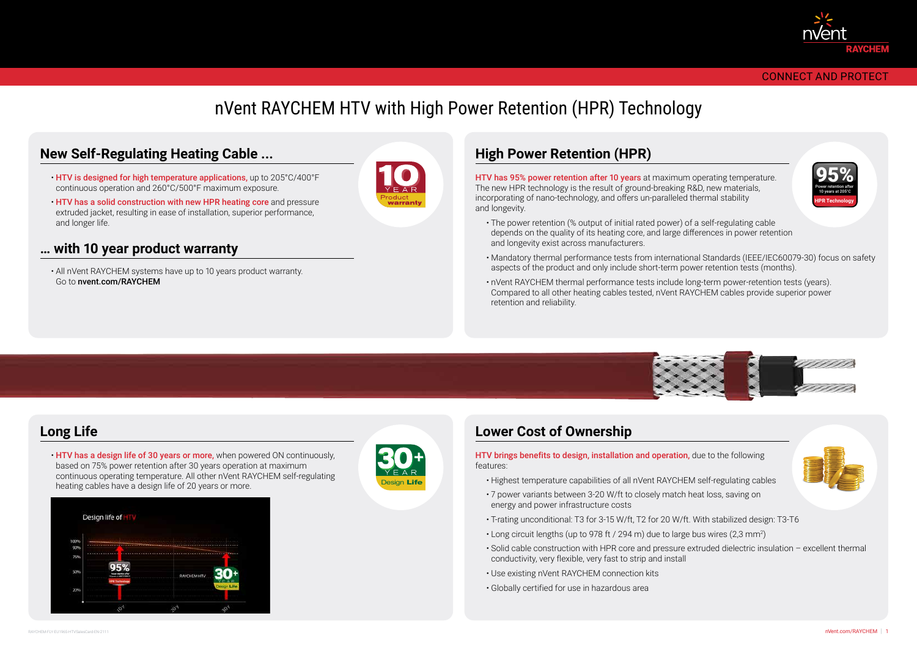#### CONNECT AND PROTECT

# nVent RAYCHEM HTV with High Power Retention (HPR) Technology

- HTV is designed for high temperature applications, up to 205°C/400°F continuous operation and 260°C/500°F maximum exposure.
- HTV has a solid construction with new HPR heating core and pressure extruded jacket, resulting in ease of installation, superior performance, and longer life.

• HTV has a design life of 30 years or more, when powered ON continuously. based on 75% power retention after 30 years operation at maximum continuous operating temperature. All other nVent RAYCHEM self-regulating heating cables have a design life of 20 years or more.



HTV brings benefits to design, installation and operation, due to the following features:

HTV has 95% power retention after 10 years at maximum operating temperature. The new HPR technology is the result of ground-breaking R&D, new materials, incorporating of nano-technology, and offers un-paralleled thermal stability and longevity.

- Highest temperature capabilities of all nVent RAYCHEM self-regulating cables
- 7 power variants between 3-20 W/ft to closely match heat loss, saving on energy and power infrastructure costs
- T-rating unconditional: T3 for 3-15 W/ft, T2 for 20 W/ft. With stabilized design: T3-T6
- Long circuit lengths (up to 978 ft / 294 m) due to large bus wires (2,3 mm²)
- Solid cable construction with HPR core and pressure extruded dielectric insulation excellent thermal conductivity, very flexible, very fast to strip and install
- Use existing nVent RAYCHEM connection kits
- Globally certified for use in hazardous area



- The power retention (% output of initial rated power) of a self-regulating cable depends on the quality of its heating core, and large differences in power retention and longevity exist across manufacturers.
- Mandatory thermal performance tests from international Standards (IEEE/IEC60079-30) focus on safety aspects of the product and only include short-term power retention tests (months).
- nVent RAYCHEM thermal performance tests include long-term power-retention tests (years). Compared to all other heating cables tested, nVent RAYCHEM cables provide superior power retention and reliability.



#### **… with 10 year product warranty**

• All nVent RAYCHEM systems have up to 10 years product warranty. Go to nvent.com/RAYCHEM



### **Long Life**

### **High Power Retention (HPR)**

### **Lower Cost of Ownership**







#### **New Self-Regulating Heating Cable ...**